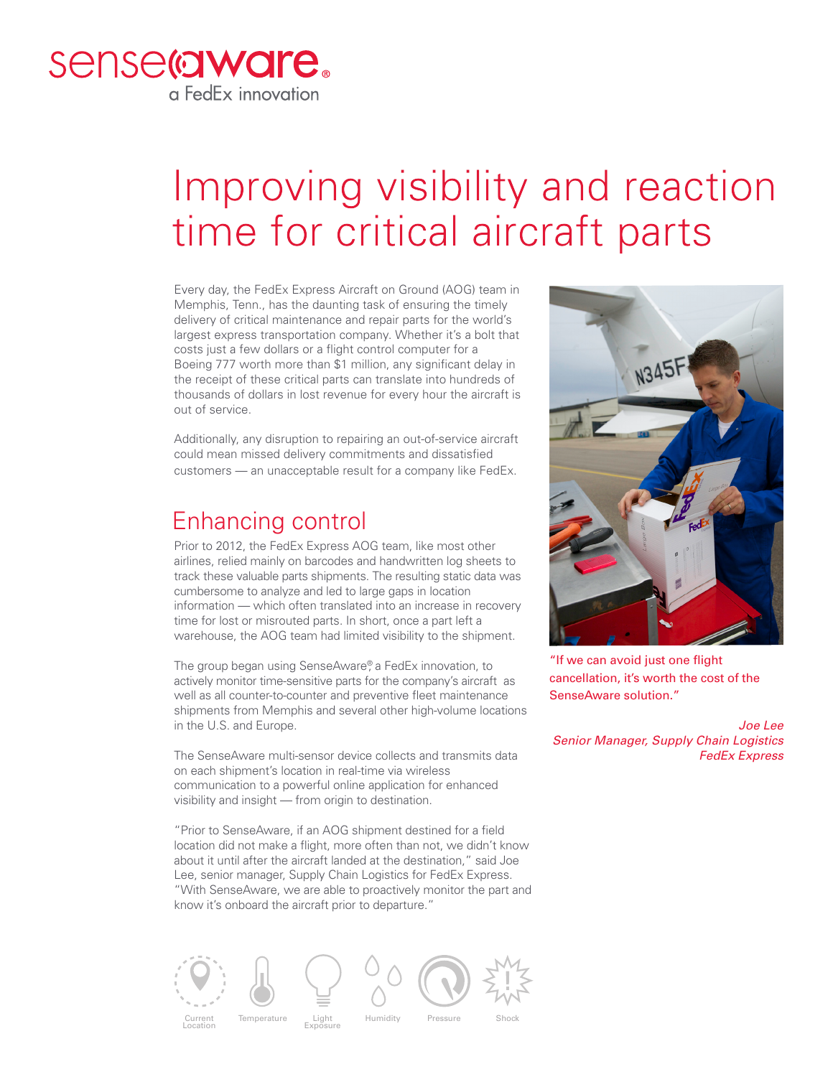

## Improving visibility and reaction time for critical aircraft parts

Every day, the FedEx Express Aircraft on Ground (AOG) team in Memphis, Tenn., has the daunting task of ensuring the timely delivery of critical maintenance and repair parts for the world's largest express transportation company. Whether it's a bolt that costs just a few dollars or a flight control computer for a Boeing 777 worth more than \$1 million, any significant delay in the receipt of these critical parts can translate into hundreds of thousands of dollars in lost revenue for every hour the aircraft is out of service.

Additionally, any disruption to repairing an out-of-service aircraft could mean missed delivery commitments and dissatisfied customers — an unacceptable result for a company like FedEx.

## Enhancing control

Prior to 2012, the FedEx Express AOG team, like most other airlines, relied mainly on barcodes and handwritten log sheets to track these valuable parts shipments. The resulting static data was cumbersome to analyze and led to large gaps in location information — which often translated into an increase in recovery time for lost or misrouted parts. In short, once a part left a warehouse, the AOG team had limited visibility to the shipment.

The group began using SenseAware®, a FedEx innovation, to actively monitor time-sensitive parts for the company's aircraft as well as all counter-to-counter and preventive fleet maintenance shipments from Memphis and several other high-volume locations in the U.S. and Europe.

The SenseAware multi-sensor device collects and transmits data on each shipment's location in real-time via wireless communication to a powerful online application for enhanced visibility and insight — from origin to destination.

"Prior to SenseAware, if an AOG shipment destined for a field location did not make a flight, more often than not, we didn't know about it until after the aircraft landed at the destination," said Joe Lee, senior manager, Supply Chain Logistics for FedEx Express. "With SenseAware, we are able to proactively monitor the part and know it's onboard the aircraft prior to departure."





"If we can avoid just one flight cancellation, it's worth the cost of the SenseAware solution."

*Joe Lee Senior Manager, Supply Chain Logistics FedEx Express*